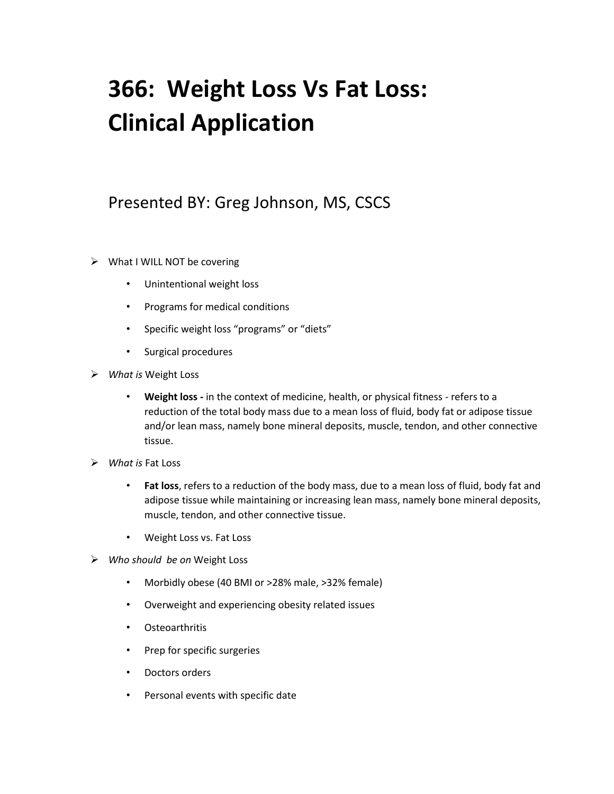## **366: Weight Loss Vs Fat Loss: Clinical Application**

## Presented BY: Greg Johnson, MS, CSCS

- $\triangleright$  What I WILL NOT be covering
	- Unintentional weight loss
	- Programs for medical conditions
	- Specific weight loss "programs" or "diets"
	- Surgical procedures
- ➢ *What is* Weight Loss
	- **Weight loss -** in the context of medicine, health, or physical fitness refers to a reduction of the total body mass due to a mean loss of fluid, body fat or adipose tissue and/or lean mass, namely bone mineral deposits, muscle, tendon, and other connective tissue.
- ➢ *What is* Fat Loss
	- **Fat loss**, refers to a reduction of the body mass, due to a mean loss of fluid, body fat and adipose tissue while maintaining or increasing lean mass, namely bone mineral deposits, muscle, tendon, and other connective tissue.
	- Weight Loss vs. Fat Loss
- ➢ *Who should be on* Weight Loss
	- Morbidly obese (40 BMI or >28% male, >32% female)
	- Overweight and experiencing obesity related issues
	- Osteoarthritis
	- Prep for specific surgeries
	- Doctors orders
	- Personal events with specific date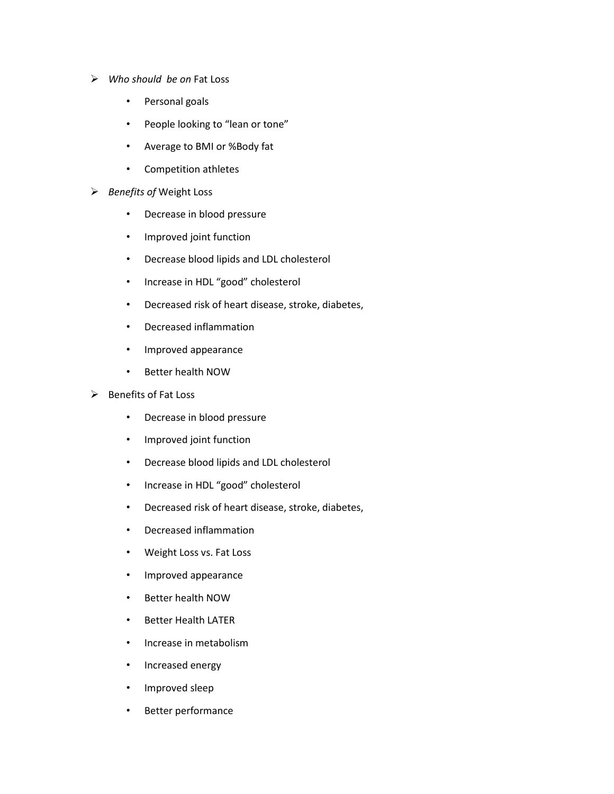- ➢ *Who should be on* Fat Loss
	- Personal goals
	- People looking to "lean or tone"
	- Average to BMI or %Body fat
	- Competition athletes
- ➢ *Benefits of* Weight Loss
	- Decrease in blood pressure
	- Improved joint function
	- Decrease blood lipids and LDL cholesterol
	- Increase in HDL "good" cholesterol
	- Decreased risk of heart disease, stroke, diabetes,
	- Decreased inflammation
	- Improved appearance
	- Better health NOW
- ➢ Benefits of Fat Loss
	- Decrease in blood pressure
	- Improved joint function
	- Decrease blood lipids and LDL cholesterol
	- Increase in HDL "good" cholesterol
	- Decreased risk of heart disease, stroke, diabetes,
	- Decreased inflammation
	- Weight Loss vs. Fat Loss
	- Improved appearance
	- Better health NOW
	- Better Health LATER
	- Increase in metabolism
	- Increased energy
	- Improved sleep
	- Better performance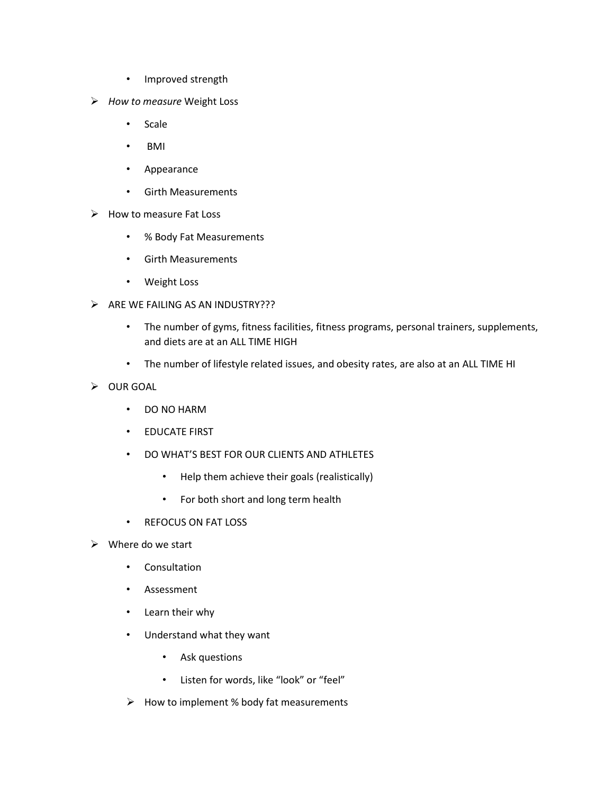- Improved strength
- ➢ *How to measure* Weight Loss
	- Scale
	- BMI
	- Appearance
	- Girth Measurements
- ➢ How to measure Fat Loss
	- % Body Fat Measurements
	- Girth Measurements
	- Weight Loss
- $\triangleright$  ARE WE FAILING AS AN INDUSTRY???
	- The number of gyms, fitness facilities, fitness programs, personal trainers, supplements, and diets are at an ALL TIME HIGH
	- The number of lifestyle related issues, and obesity rates, are also at an ALL TIME HI
- ➢ OUR GOAL
	- DO NO HARM
	- EDUCATE FIRST
	- DO WHAT'S BEST FOR OUR CLIENTS AND ATHLETES
		- Help them achieve their goals (realistically)
		- For both short and long term health
	- REFOCUS ON FAT LOSS
- $\triangleright$  Where do we start
	- Consultation
	- Assessment
	- Learn their why
	- Understand what they want
		- Ask questions
		- Listen for words, like "look" or "feel"
	- ➢ How to implement % body fat measurements